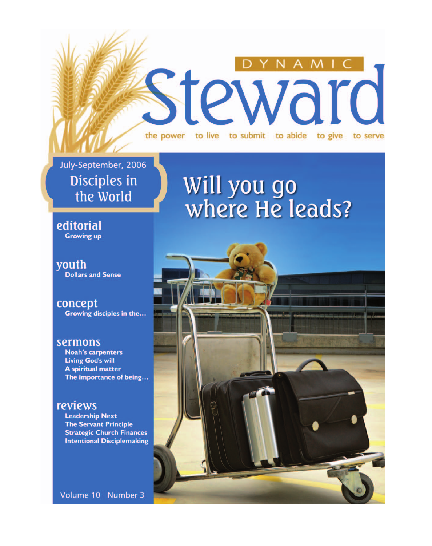#### $M<sub>1</sub>$ steward to live to submit to abide the power to give to serve

July-September, 2006 Disciples in the World

 $\Box$ 

# Will you go<br>where He leads?

editorial **Growing up** 

youth **Dollars and Sense** 

concept Growing disciples in the...

#### sermons

**Noah's carpenters Living God's will A spiritual matter** The importance of being...

### reviews

**Leadership Next The Servant Principle Strategic Church Finances Intentional Disciplemaking** 

Volume 10 Number 3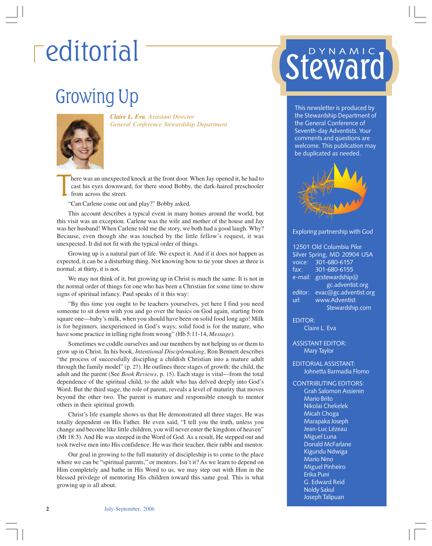### Growing Up



*Claire L. Eva, Assistant Director General Conference Stewardship Department*

T here was an unexpected knock at the front door. When Jay opened it, he had to cast his eyes downward, for there stood Bobby, the dark-haired preschooler from across the street.

"Can Carlene come out and play?" Bobby asked.

This account describes a typical event in many homes around the world, but this visit was an exception. Carlene was the wife and mother of the house and Jay was her husband! When Carlene told me the story, we both had a good laugh. Why? Because, even though she was touched by the little fellow's request, it was unexpected. It did not fit with the typical order of things.

Growing up is a natural part of life. We expect it. And if it does not happen as expected, it can be a disturbing thing. Not knowing how to tie your shoes at three is normal; at thirty, it is not.

We may not think of it, but growing up in Christ is much the same. It is not in the normal order of things for one who has been a Christian for some time to show signs of spiritual infancy. Paul speaks of it this way:

"By this time you ought to be teachers yourselves, yet here I find you need someone to sit down with you and go over the basics on God again, starting from square one—baby's milk, when you should have been on solid food long ago! Milk is for beginners, inexperienced in God's ways; solid food is for the mature, who have some practice in telling right from wrong" (Hb 5:11-14, *Message*).

Sometimes we coddle ourselves and our members by not helping us or them to grow up in Christ. In his book, *Intentional Disciplemaking*, Ron Bennett describes "the process of successfully discipling a childish Christian into a mature adult through the family model" (p. 27). He outlines three stages of growth: the child, the adult and the parent (See *Book Reviews*, p. 15). Each stage is vital—from the total dependence of the spiritual child, to the adult who has delved deeply into God's Word. But the third stage, the role of parent, reveals a level of maturity that moves beyond the other two. The parent is mature and responsible enough to mentor others in their spiritual growth.

Christ's life example shows us that He demonstrated all three stages. He was totally dependent on His Father. He even said, "I tell you the truth, unless you change and become like little children, you will never enter the kingdom of heaven" (Mt 18:3). And He was steeped in the Word of God. As a result, He stepped out and took twelve men into His confidence. He was their teacher, their rabbi and mentor.

Our goal in growing to the full maturity of discipleship is to come to the place where we can be "spiritual parents," or mentors. Isn't it? As we learn to depend on Him completely and bathe in His Word to us, we may step out with Him in the blessed privilege of mentoring His children toward this same goal. This is what growing up is all about.

### editorial steward DYNAMIC

This newsletter is produced by the Stewardship Department of the General Conference of Seventh-day Adventists. Your comments and questions are welcome. This publication may be duplicated as needed.



#### Exploring partnership with God

12501 Old Columbia Pike Silver Spring, MD 20904 USA voice: 301-680-6157 fax: 301-680-6155 e-mail: gcstewardship@ gc.adventist.org editor: evac@gc.adventist.org url: www.Adventist Stewardship.com

EDITOR: Claire L. Eva

ASSISTANT EDITOR: Mary Taylor

#### EDITORIAL ASSISTANT: Johnetta Barmadia Flomo

#### CONTRIBUTING EDITORS:

Grah Salomon Assienin Mario Brito Nikolai Chekelek Micah Choga Marapaka Joseph Jean-Luc Lézeau Miguel Luna Donald McFarlane Kigundu Ndwiga Mario Nino Miguel Pinheiro Erika Puni G. Edward Reid Noldy Sakul Joseph Talipuan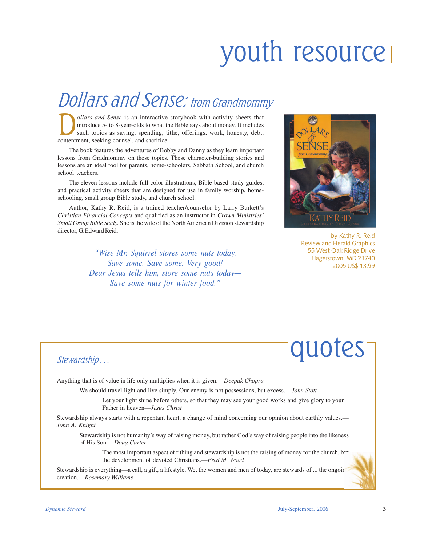## youth resource

### Dollars and Sense: from Grandmommy

**D** *ollars and Sense* is an interactive storybook with activity sheets that introduce 5- to 8-year-olds to what the Bible says about money. It includes such topics as saving, spending, tithe, offerings, work, honesty, deb introduce 5- to 8-year-olds to what the Bible says about money. It includes such topics as saving, spending, tithe, offerings, work, honesty, debt, contentment, seeking counsel, and sacrifice.

The book features the adventures of Bobby and Danny as they learn important lessons from Gradmommy on these topics. These character-building stories and lessons are an ideal tool for parents, home-schoolers, Sabbath School, and church school teachers.

The eleven lessons include full-color illustrations, Bible-based study guides, and practical activity sheets that are designed for use in family worship, homeschooling, small group Bible study, and church school.

Author, Kathy R. Reid, is a trained teacher/counselor by Larry Burkett's *Christian Financial Concepts* and qualified as an instructor in *Crown Ministries' Small Group Bible Study.* She is the wife of the North American Division stewardship director, G. Edward Reid.

> *"Wise Mr. Squirrel stores some nuts today. Save some. Save some. Very good! Dear Jesus tells him, store some nuts today— Save some nuts for winter food."*



by Kathy R. Reid Review and Herald Graphics 55 West Oak Ridge Drive Hagerstown, MD 21740 2005 US\$ 13.99

### quotes

#### Stewardship . . .

Anything that is of value in life only multiplies when it is given.—*Deepak Chopra*

We should travel light and live simply. Our enemy is not possessions, but excess.—*John Stott*

Let your light shine before others, so that they may see your good works and give glory to your Father in heaven—*Jesus Christ*

Stewardship always starts with a repentant heart, a change of mind concerning our opinion about earthly values.— *John A. Knight*

Stewardship is not humanity's way of raising money, but rather God's way of raising people into the likeness of His Son.—*Doug Carter*

The most important aspect of tithing and stewardship is not the raising of money for the church,  $b^{\ldots}$ the development of devoted Christians.—*Fred M. Wood*

Stewardship is everything—a call, a gift, a lifestyle. We, the women and men of today, are stewards of ... the ongoing creation.—*Rosemary Williams*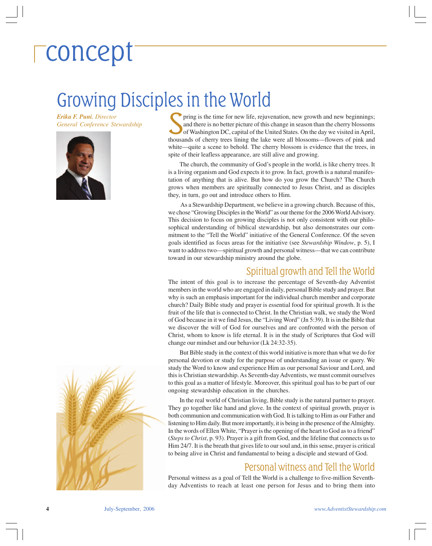### concept

### Growing Disciples in the World

*Erika F. Puni, Director General Conference Stewardship*



Fing is the time for new life, rejuvenation, new growth and new beginnings;<br>and there is no better picture of this change in season than the cherry blossoms<br>of Washington DC, capital of the United States. On the day we vis pring is the time for new life, rejuvenation, new growth and new beginnings; and there is no better picture of this change in season than the cherry blossoms of Washington DC, capital of the United States. On the day we visited in April, white—quite a scene to behold. The cherry blossom is evidence that the trees, in spite of their leafless appearance, are still alive and growing.

The church, the community of God's people in the world, is like cherry trees. It is a living organism and God expects it to grow. In fact, growth is a natural manifestation of anything that is alive. But how do you grow the Church? The Church grows when members are spiritually connected to Jesus Christ, and as disciples they, in turn, go out and introduce others to Him.

 As a Stewardship Department, we believe in a growing church. Because of this, we chose "Growing Disciples in the World" as our theme for the 2006 World Advisory. This decision to focus on growing disciples is not only consistent with our philosophical understanding of biblical stewardship, but also demonstrates our commitment to the "Tell the World" initiative of the General Conference. Of the seven goals identified as focus areas for the initiative (see *Stewardship Window*, p. 5), I want to address two—spiritual growth and personal witness—that we can contribute toward in our stewardship ministry around the globe.

#### Spiritual growth and Tell the World

The intent of this goal is to increase the percentage of Seventh-day Adventist members in the world who are engaged in daily, personal Bible study and prayer. But why is such an emphasis important for the individual church member and corporate church? Daily Bible study and prayer is essential food for spiritual growth. It is the fruit of the life that is connected to Christ. In the Christian walk, we study the Word of God because in it we find Jesus, the "Living Word" (Jn 5:39). It is in the Bible that we discover the will of God for ourselves and are confronted with the person of Christ, whom to know is life eternal. It is in the study of Scriptures that God will change our mindset and our behavior (Lk 24:32-35).

But Bible study in the context of this world initiative is more than what we do for personal devotion or study for the purpose of understanding an issue or query. We study the Word to know and experience Him as our personal Saviour and Lord, and this is Christian stewardship. As Seventh-day Adventists, we must commit ourselves to this goal as a matter of lifestyle. Moreover, this spiritual goal has to be part of our ongoing stewardship education in the churches.

In the real world of Christian living, Bible study is the natural partner to prayer. They go together like hand and glove. In the context of spiritual growth, prayer is both communion and communication with God. It is talking to Him as our Father and listening to Him daily. But more importantly, it is being in the presence of the Almighty. In the words of Ellen White, "Prayer is the opening of the heart to God as to a friend" (*Steps to Christ*, p. 93). Prayer is a gift from God, and the lifeline that connects us to Him 24/7. It is the breath that gives life to our soul and, in this sense, prayer is critical to being alive in Christ and fundamental to being a disciple and steward of God.

#### Personal witness and Tell the World

Personal witness as a goal of Tell the World is a challenge to five-million Seventhday Adventists to reach at least one person for Jesus and to bring them into

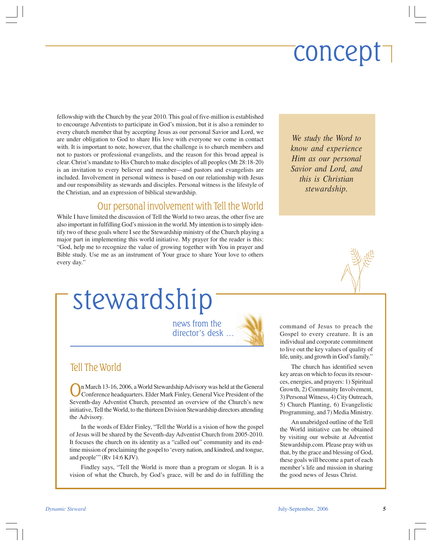## concept

fellowship with the Church by the year 2010. This goal of five-million is established to encourage Adventists to participate in God's mission, but it is also a reminder to every church member that by accepting Jesus as our personal Savior and Lord, we are under obligation to God to share His love with everyone we come in contact with. It is important to note, however, that the challenge is to church members and not to pastors or professional evangelists, and the reason for this broad appeal is clear. Christ's mandate to His Church to make disciples of all peoples (Mt 28:18-20) is an invitation to every believer and member—and pastors and evangelists are included. Involvement in personal witness is based on our relationship with Jesus and our responsibility as stewards and disciples. Personal witness is the lifestyle of the Christian, and an expression of biblical stewardship.

#### Our personal involvement with Tell the World

While I have limited the discussion of Tell the World to two areas, the other five are also important in fulfilling God's mission in the world. My intention is to simply identify two of these goals where I see the Stewardship ministry of the Church playing a major part in implementing this world initiative. My prayer for the reader is this: "God, help me to recognize the value of growing together with You in prayer and Bible study. Use me as an instrument of Your grace to share Your love to others every day."

```
We study the Word to
know and experience
Him as our personal
Savior and Lord, and
  this is Christian
    stewardship.
```


stewardship

news from the director's desk …



#### Tell The World

On March 13-16, 2006, a World Stewardship Advisory was held at the General Conference headquarters. Elder Mark Finley, General Vice President of the Seventh-day Adventist Church, presented an overview of the Church's new initiative, Tell the World, to the thirteen Division Stewardship directors attending the Advisory.

In the words of Elder Finley, "Tell the World is a vision of how the gospel of Jesus will be shared by the Seventh-day Adventist Church from 2005-2010. It focuses the church on its identity as a "called out" community and its endtime mission of proclaiming the gospel to 'every nation, and kindred, and tongue, and people'" (Rv 14:6 KJV).

Findley says, "Tell the World is more than a program or slogan. It is a vision of what the Church, by God's grace, will be and do in fulfilling the command of Jesus to preach the Gospel to every creature. It is an individual and corporate commitment to live out the key values of quality of life, unity, and growth in God's family."

The church has identified seven key areas on which to focus its resources, energies, and prayers: 1) Spiritual Growth, 2) Community Involvement, 3) Personal Witness, 4) City Outreach, 5) Church Planting, 6) Evangelistic Programming, and 7) Media Ministry.

An unabridged outline of the Tell the World initiative can be obtained by visiting our website at Adventist Stewardship.com. Please pray with us that, by the grace and blessing of God, these goals will become a part of each member's life and mission in sharing the good news of Jesus Christ.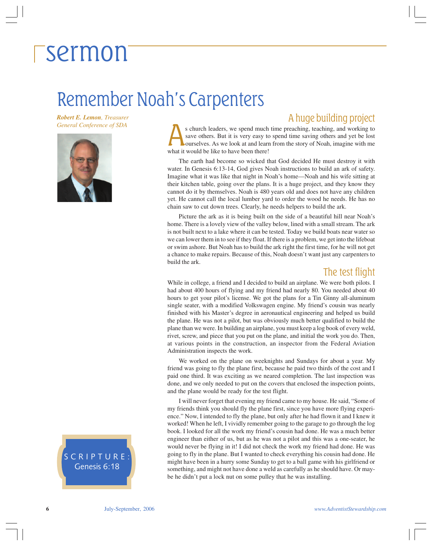### Remember Noah's Carpenters

*Robert E. Lemon, Treasurer*



*General Conference of SDA* S church leaders, we spend much time preaching, teaching, and working to **A** huge building project s church leaders, we spend much time preaching, teaching, and working to save others. But it is very easy to spend time saving others and yet be lost ourselves. As we look at and learn from the story of Noah, imagine with save others. But it is very easy to spend time saving others and yet be lost what it would be like to have been there!

> The earth had become so wicked that God decided He must destroy it with water. In Genesis 6:13-14, God gives Noah instructions to build an ark of safety. Imagine what it was like that night in Noah's home—Noah and his wife sitting at their kitchen table, going over the plans. It is a huge project, and they know they cannot do it by themselves. Noah is 480 years old and does not have any children yet. He cannot call the local lumber yard to order the wood he needs. He has no chain saw to cut down trees. Clearly, he needs helpers to build the ark.

> Picture the ark as it is being built on the side of a beautiful hill near Noah's home. There is a lovely view of the valley below, lined with a small stream. The ark is not built next to a lake where it can be tested. Today we build boats near water so we can lower them in to see if they float. If there is a problem, we get into the lifeboat or swim ashore. But Noah has to build the ark right the first time, for he will not get a chance to make repairs. Because of this, Noah doesn't want just any carpenters to build the ark.

#### The test flight

While in college, a friend and I decided to build an airplane. We were both pilots. I had about 400 hours of flying and my friend had nearly 80. You needed about 40 hours to get your pilot's license. We got the plans for a Tin Ginny all-aluminum single seater, with a modified Volkswagen engine. My friend's cousin was nearly finished with his Master's degree in aeronautical engineering and helped us build the plane. He was not a pilot, but was obviously much better qualified to build the plane than we were. In building an airplane, you must keep a log book of every weld, rivet, screw, and piece that you put on the plane, and initial the work you do. Then, at various points in the construction, an inspector from the Federal Aviation Administration inspects the work.

We worked on the plane on weeknights and Sundays for about a year. My friend was going to fly the plane first, because he paid two thirds of the cost and I paid one third. It was exciting as we neared completion. The last inspection was done, and we only needed to put on the covers that enclosed the inspection points, and the plane would be ready for the test flight.

I will never forget that evening my friend came to my house. He said, "Some of my friends think you should fly the plane first, since you have more flying experience." Now, I intended to fly the plane, but only after he had flown it and I knew it worked! When he left, I vividly remember going to the garage to go through the log book. I looked for all the work my friend's cousin had done. He was a much better engineer than either of us, but as he was not a pilot and this was a one-seater, he would never be flying in it! I did not check the work my friend had done. He was going to fly in the plane. But I wanted to check everything his cousin had done. He might have been in a hurry some Sunday to get to a ball game with his girlfriend or something, and might not have done a weld as carefully as he should have. Or maybe he didn't put a lock nut on some pulley that he was installing.

SCRIPTURE: Genesis 6:18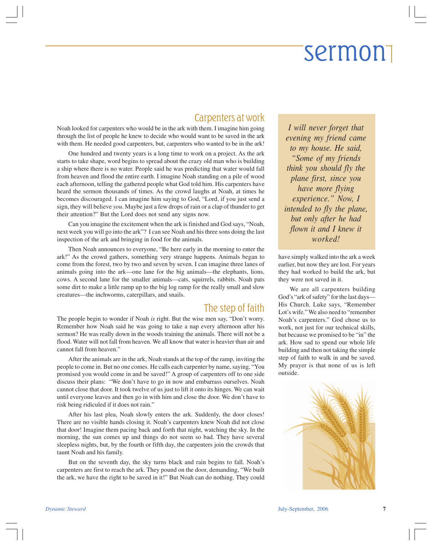### Carpenters at work

Noah looked for carpenters who would be in the ark with them. I imagine him going through the list of people he knew to decide who would want to be saved in the ark with them. He needed good carpenters, but, carpenters who wanted to be in the ark!

One hundred and twenty years is a long time to work on a project. As the ark starts to take shape, word begins to spread about the crazy old man who is building a ship where there is no water. People said he was predicting that water would fall from heaven and flood the entire earth. I imagine Noah standing on a pile of wood each afternoon, telling the gathered people what God told him. His carpenters have heard the sermon thousands of times. As the crowd laughs at Noah, at times he becomes discouraged. I can imagine him saying to God, "Lord, if you just send a sign, they will believe *you*. Maybe just a few drops of rain or a clap of thunder to get their attention?" But the Lord does not send any signs now.

Can you imagine the excitement when the ark is finished and God says, "Noah, next week you will go into the ark"? I can see Noah and his three sons doing the last inspection of the ark and bringing in food for the animals.

Then Noah announces to everyone, "Be here early in the morning to enter the ark!" As the crowd gathers, something very strange happens. Animals began to come from the forest, two by two and seven by seven. I can imagine three lanes of animals going into the ark—one lane for the big animals—the elephants, lions, cows. A second lane for the smaller animals—cats, squirrels, rabbits. Noah pats some dirt to make a little ramp up to the big log ramp for the really small and slow creatures—the inchworms, caterpillars, and snails.

### The step of faith

The people begin to wonder if Noah *is* right. But the wise men say, "Don't worry. Remember how Noah said he was going to take a nap every afternoon after his sermon? He was really down in the woods training the animals. There will not be a flood. Water will not fall from heaven. We all know that water is heavier than air and cannot fall from heaven."

After the animals are in the ark, Noah stands at the top of the ramp, inviting the people to come in. But no one comes. He calls each carpenter by name, saying, "You promised you would come in and be saved!" A group of carpenters off to one side discuss their plans: "We don't have to go in now and embarrass ourselves. Noah cannot close that door. It took twelve of us just to lift it onto its hinges. We can wait until everyone leaves and then go in with him and close the door. We don't have to risk being ridiculed if it does not rain."

After his last plea, Noah slowly enters the ark. Suddenly, the door closes! There are no visible hands closing it. Noah's carpenters knew Noah did not close that door! Imagine them pacing back and forth that night, watching the sky. In the morning, the sun comes up and things do not seem so bad. They have several sleepless nights, but, by the fourth or fifth day, the carpenters join the crowds that taunt Noah and his family.

But on the seventh day, the sky turns black and rain begins to fall. Noah's carpenters are first to reach the ark. They pound on the door, demanding, "We built the ark, we have the right to be saved in it!" But Noah can do nothing. They could

*I will never forget that evening my friend came to my house. He said, "Some of my friends think you should fly the plane first, since you have more flying experience." Now, I intended to fly the plane, but only after he had flown it and I knew it worked!*

have simply walked into the ark a week earlier, but now they are lost. For years they had worked to build the ark, but they were not saved in it.

We are all carpenters building God's "ark of safety" for the last days— His Church. Luke says, "Remember Lot's wife." We also need to "remember Noah's carpenters." God chose us to work, not just for our technical skills, but because we promised to be "in" the ark. How sad to spend our whole life building and then not taking the simple step of faith to walk in and be saved. My prayer is that none of us is left outside.

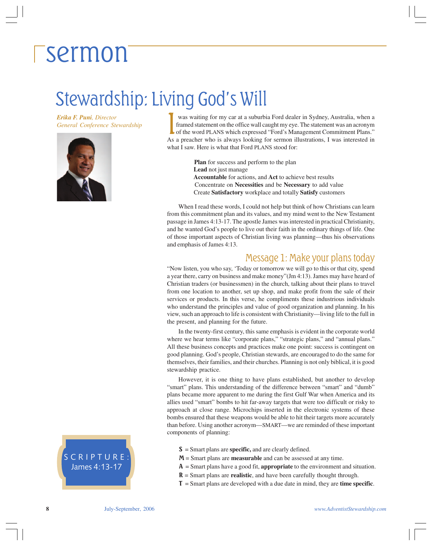### Stewardship: Living God's Will

*Erika F. Puni, Director* **General Conference Stewardship** 



was waiting for my car at a suburbia Ford dealer in Sydney, Australia, when a framed statement on the office wall caught my eye. The statement was an acronym of the word PLANS which expressed "Ford's Management Commitment Plans." As a preacher who is always looking for sermon illustrations, I was interested in what I saw. Here is what that Ford PLANS stood for:

> **Plan** for success and perform to the plan  **Lead** not just manage  **Accountable** for actions, and **Act** to achieve best results Concentrate on **Necessities** and be **Necessary** to add value Create **Satisfactory** workplace and totally **Satisfy** customers

When I read these words, I could not help but think of how Christians can learn from this commitment plan and its values, and my mind went to the New Testament passage in James 4:13-17. The apostle James was interested in practical Christianity, and he wanted God's people to live out their faith in the ordinary things of life. One of those important aspects of Christian living was planning—thus his observations and emphasis of James 4:13.

#### Message 1: Make your plans today

"Now listen, you who say, 'Today or tomorrow we will go to this or that city, spend a year there, carry on business and make money"(Jm 4:13). James may have heard of Christian traders (or businessmen) in the church, talking about their plans to travel from one location to another, set up shop, and make profit from the sale of their services or products. In this verse, he compliments these industrious individuals who understand the principles and value of good organization and planning. In his view, such an approach to life is consistent with Christianity—living life to the full in the present, and planning for the future.

In the twenty-first century, this same emphasis is evident in the corporate world where we hear terms like "corporate plans," "strategic plans," and "annual plans." All these business concepts and practices make one point: success is contingent on good planning. God's people, Christian stewards, are encouraged to do the same for themselves, their families, and their churches. Planning is not only biblical, it is good stewardship practice.

However, it is one thing to have plans established, but another to develop "smart" plans. This understanding of the difference between "smart" and "dumb" plans became more apparent to me during the first Gulf War when America and its allies used "smart" bombs to hit far-away targets that were too difficult or risky to approach at close range. Microchips inserted in the electronic systems of these bombs ensured that these weapons would be able to hit their targets more accurately than before. Using another acronym—SMART—we are reminded of these important components of planning:

- S = Smart plans are **specific,** and are clearly defined.
- M = Smart plans are **measurable** and can be assessed at any time.
- A = Smart plans have a good fit, **appropriate** to the environment and situation.
- R = Smart plans are **realistic**, and have been carefully thought through.
- T = Smart plans are developed with a due date in mind, they are **time specific**.

#### SCRIPTURE: James 4:13-17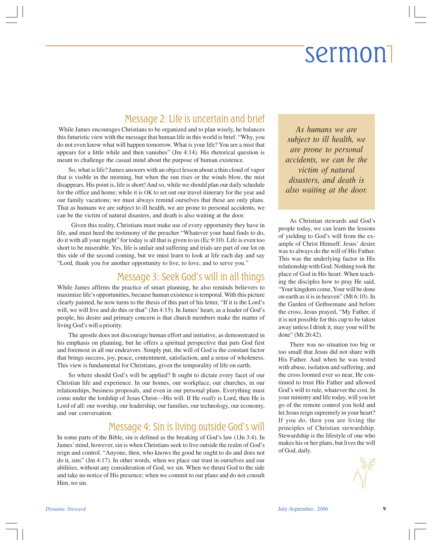### Message 2: Life is uncertain and brief

 While James encourages Christians to be organized and to plan wisely, he balances this futuristic view with the message that human life in this world is brief. "Why, you do not even know what will happen tomorrow. What is your life? You are a mist that appears for a little while and then vanishes" (Jm 4:14). His rhetorical question is meant to challenge the casual mind about the purpose of human existence.

So, what is life? James answers with an object lesson about a thin cloud of vapor that is visible in the morning, but when the sun rises or the winds blow, the mist disappears. His point is, life is short! And so, while we should plan our daily schedule for the office and home; while it is OK to set out our travel itinerary for the year and our family vacations; we must always remind ourselves that these are only plans. That as humans we are subject to ill health, we are prone to personal accidents, we can be the victim of natural disasters, and death is also waiting at the door.

 Given this reality, Christians must make use of every opportunity they have in life, and must heed the testimony of the preacher "Whatever your hand finds to do, do it with all your might" for today is all that is given to us (Ec 9:10). Life is even too short to be miserable. Yes, life is unfair and suffering and trials are part of our lot on this side of the second coming, but we must learn to look at life each day and say "Lord, thank you for another opportunity to live, to love, and to serve you."

#### Message 3: Seek God's will in all things

While James affirms the practice of smart planning, he also reminds believers to maximize life's opportunities, because human existence is temporal. With this picture clearly painted, he now turns to the thesis of this part of his letter, "If it is the Lord's will, we will live and do this or that" (Jm 4:15). In James' heart, as a leader of God's people, his desire and primary concern is that church members make the matter of living God's will a priority.

The apostle does not discourage human effort and initiative, as demonstrated in his emphasis on planning, but he offers a spiritual perspective that puts God first and foremost in all our endeavors. Simply put, the will of God is the constant factor that brings success, joy, peace, contentment, satisfaction, and a sense of wholeness. This view is fundamental for Christians, given the temporality of life on earth.

So where should God's will be applied? It ought to dictate every facet of our Christian life and experience. In our homes, our workplace, our churches, in our relationships, business proposals, and even in our personal plans. Everything must come under the lordship of Jesus Christ—His will. If He *really* is Lord, then He is Lord of all: our worship, our leadership, our families, our technology, our economy, and our conversation.

#### Message 4: Sin is living outside God's will

In some parts of the Bible, sin is defined as the breaking of God's law (1Jn 3:4). In James' mind, however, sin is when Christians seek to live outside the realm of God's reign and control. "Anyone, then, who knows the good he ought to do and does not do it, sins" (Jm 4:17). In other words, when we place our trust in ourselves and our abilities, without any consideration of God, we sin. When we thrust God to the side and take no notice of His presence; when we commit to our plans and do not consult Him, we sin.

*As humans we are subject to ill health, we are prone to personal accidents, we can be the victim of natural disasters, and death is also waiting at the door.*

As Christian stewards and God's people today, we can learn the lessons of yielding to God's will from the example of Christ Himself. Jesus' desire was to always do the will of His Father. This was the underlying factor in His relationship with God. Nothing took the place of God in His heart. When teaching the disciples how to pray He said, "Your kingdom come, Your will be done on earth as it is in heaven" (Mt 6:10). In the Garden of Gethsemane and before the cross, Jesus prayed, "My Father, if it is not possible for this cup to be taken away unless I drink it, may your will be done" (Mt 26:42).

There was no situation too big or too small that Jesus did not share with His Father. And when he was tested with abuse, isolation and suffering, and the cross loomed ever so near, He continued to trust His Father and allowed God's will to rule, whatever the cost. In your ministry and life today, will you let go of the remote control you hold and let Jesus reign supremely in your heart? If you do, then you are living the principles of Christian stewardship. Stewardship is the lifestyle of one who makes his or her plans, but lives the will of God, daily.

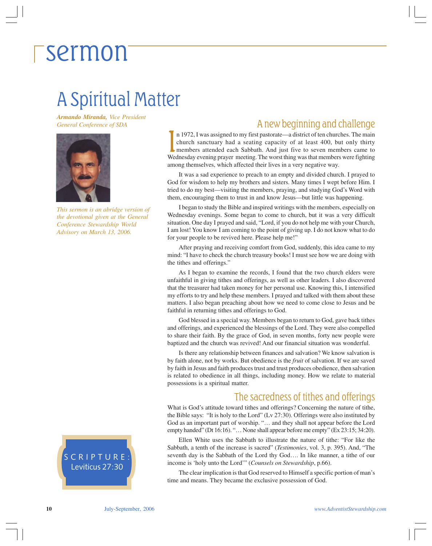### A Spiritual Matter

*Armando Miranda, Vice President General Conference of SDA*



*This sermon is an abridge version of the devotional given at the General Conference Stewardship World Advisory on March 13, 2006.*

#### SCRIPTURE: Leviticus 27:30

#### A new beginning and challenge

In 1972, I was assigned to my first pastorate—a district of ten churches. The main church sanctuary had a seating capacity of at least 400, but only thirty members attended each Sabbath. And just five to seven members came n 1972, I was assigned to my first pastorate—a district of ten churches. The main church sanctuary had a seating capacity of at least 400, but only thirty members attended each Sabbath. And just five to seven members came to among themselves, which affected their lives in a very negative way.

It was a sad experience to preach to an empty and divided church. I prayed to God for wisdom to help my brothers and sisters. Many times I wept before Him. I tried to do my best—visiting the members, praying, and studying God's Word with them, encouraging them to trust in and know Jesus—but little was happening.

I began to study the Bible and inspired writings with the members, especially on Wednesday evenings. Some began to come to church, but it was a very difficult situation. One day I prayed and said, "Lord, if you do not help me with your Church, I am lost! You know I am coming to the point of giving up. I do not know what to do for your people to be revived here. Please help me!"

After praying and receiving comfort from God, suddenly, this idea came to my mind: "I have to check the church treasury books! I must see how we are doing with the tithes and offerings."

As I began to examine the records, I found that the two church elders were unfaithful in giving tithes and offerings, as well as other leaders. I also discovered that the treasurer had taken money for her personal use. Knowing this, I intensified my efforts to try and help these members. I prayed and talked with them about these matters. I also began preaching about how we need to come close to Jesus and be faithful in returning tithes and offerings to God.

God blessed in a special way. Members began to return to God, gave back tithes and offerings, and experienced the blessings of the Lord. They were also compelled to share their faith. By the grace of God, in seven months, forty new people were baptized and the church was revived! And our financial situation was wonderful.

Is there any relationship between finances and salvation? We know salvation is by faith alone, not by works. But obedience is the *fruit* of salvation. If we are saved by faith in Jesus and faith produces trust and trust produces obedience, then salvation is related to obedience in all things, including money. How we relate to material possessions is a spiritual matter.

#### The sacredness of tithes and offerings

What is God's attitude toward tithes and offerings? Concerning the nature of tithe, the Bible says: "It is holy to the Lord" (Lv 27:30). Offerings were also instituted by God as an important part of worship. "… and they shall not appear before the Lord empty handed" (Dt 16:16). "… None shall appear before me empty" (Ex 23:15; 34:20).

Ellen White uses the Sabbath to illustrate the nature of tithe: "For like the Sabbath, a tenth of the increase is sacred" (*Testimonies*, vol. 3, p. 395). And, "The seventh day is the Sabbath of the Lord thy God…. In like manner, a tithe of our income is 'holy unto the Lord'" (*Counsels on Stewardship*, p.66).

The clear implication is that God reserved to Himself a specific portion of man's time and means. They became the exclusive possession of God.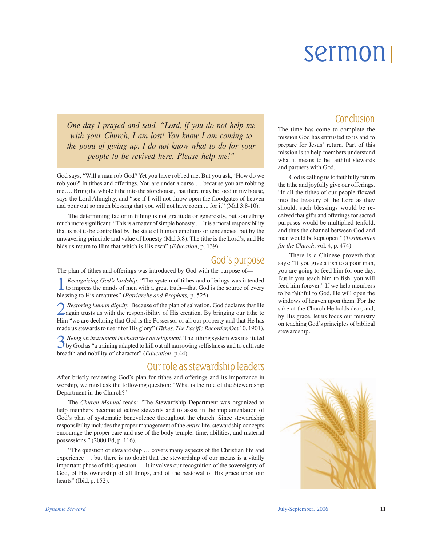*One day I prayed and said, "Lord, if you do not help me with your Church, I am lost! You know I am coming to the point of giving up. I do not know what to do for your people to be revived here. Please help me!"*

God says, "Will a man rob God? Yet you have robbed me. But you ask, 'How do we rob you?' In tithes and offerings. You are under a curse … because you are robbing me…. Bring the whole tithe into the storehouse, that there may be food in my house, says the Lord Almighty, and "see if I will not throw open the floodgates of heaven and pour out so much blessing that you will not have room ... for it" (Mal 3:8-10).

The determining factor in tithing is not gratitude or generosity, but something much more significant. "This is a matter of simple honesty.… It is a moral responsibility that is not to be controlled by the state of human emotions or tendencies, but by the unwavering principle and value of honesty (Mal 3:8). The tithe is the Lord's; and He bids us return to Him that which is His own" (*Education*, p. 139).

#### God's purpose

The plan of tithes and offerings was introduced by God with the purpose of—

**1** *Recognizing God's lordship*. "The system of tithes and offerings was intended to impress the minds of men with a great truth—that God is the source of every blessing to His creatures" (*Patriarchs and Prophets,* p. 525).

**2** *Restoring human dignity*. Because of the plan of salvation, God declares that He again trusts us with the responsibility of His creation. By bringing our tithe to Him "we are declaring that God is the Possessor of all our property and that He has made us stewards to use it for His glory" (*Tithes, The Pacific Recorder,* Oct 10, 1901).

**3** *Being an instrument in character development*. The tithing system was instituted by God as "a training adapted to kill out all narrowing selfishness and to cultivate breadth and nobility of character" (*Education*, p.44).

#### Our role as stewardship leaders

After briefly reviewing God's plan for tithes and offerings and its importance in worship, we must ask the following question: "What is the role of the Stewardship Department in the Church?"

The *Church Manual* reads: "The Stewardship Department was organized to help members become effective stewards and to assist in the implementation of God's plan of systematic benevolence throughout the church. Since stewardship responsibility includes the proper management of the *entire* life, stewardship concepts encourage the proper care and use of the body temple, time, abilities, and material possessions." (2000 Ed, p. 116).

"The question of stewardship … covers many aspects of the Christian life and experience … but there is no doubt that the stewardship of our means is a vitally important phase of this question.… It involves our recognition of the sovereignty of God, of His ownership of all things, and of the bestowal of His grace upon our hearts" (Ibid, p. 152).

#### **Conclusion**

The time has come to complete the mission God has entrusted to us and to prepare for Jesus' return. Part of this mission is to help members understand what it means to be faithful stewards and partners with God.

God is calling us to faithfully return the tithe and joyfully give our offerings. "If all the tithes of our people flowed into the treasury of the Lord as they should, such blessings would be received that gifts and offerings for sacred purposes would be multiplied tenfold, and thus the channel between God and man would be kept open." (*Testimonies for the Church*, vol. 4, p. 474).

There is a Chinese proverb that says: "If you give a fish to a poor man, you are going to feed him for one day. But if you teach him to fish, you will feed him forever." If we help members to be faithful to God, He will open the windows of heaven upon them. For the sake of the Church He holds dear, and, by His grace, let us focus our ministry on teaching God's principles of biblical stewardship.

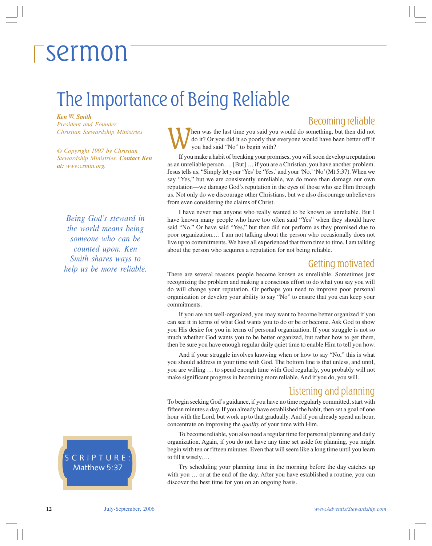### The Importance of Being Reliable

*Ken W. Smith President and Founder Christian Stewardship Ministries*

*© Copyright 1997 by Christian Stewardship Ministries. Contact Ken at: www.csmin.org.*

*Being God's steward in the world means being someone who can be counted upon. Ken Smith shares ways to help us be more reliable.*

SCRIPTURE: Matthew 5:37

#### Becoming reliable

hen was the last time you said you would do something, but then did not do it? Or you did it so poorly that everyone would have been better off if you had said "No" to begin with?

If you make a habit of breaking your promises, you will soon develop a reputation as an unreliable person…. [But] … if you are a Christian, you have another problem. Jesus tells us, "Simply let your 'Yes' be 'Yes,' and your 'No,' 'No' (Mt 5:37). When we say "Yes," but we are consistently unreliable, we do more than damage our own reputation—we damage God's reputation in the eyes of those who see Him through us. Not only do we discourage other Christians, but we also discourage unbelievers from even considering the claims of Christ.

I have never met anyone who really wanted to be known as unreliable. But I have known many people who have too often said "Yes" when they should have said "No." Or have said "Yes," but then did not perform as they promised due to poor organization.… I am not talking about the person who occasionally does not live up to commitments. We have all experienced that from time to time. I am talking about the person who acquires a reputation for not being reliable.

#### Getting motivated

There are several reasons people become known as unreliable. Sometimes just recognizing the problem and making a conscious effort to do what you say you will do will change your reputation. Or perhaps you need to improve poor personal organization or develop your ability to say "No" to ensure that you can keep your commitments.

If you are not well-organized, you may want to become better organized if you can see it in terms of what God wants you to do or be or become. Ask God to show you His desire for you in terms of personal organization. If your struggle is not so much whether God wants you to be better organized, but rather how to get there, then be sure you have enough regular daily quiet time to enable Him to tell you how.

And if your struggle involves knowing when or how to say "No," this is what you should address in your time with God. The bottom line is that unless, and until, you are willing … to spend enough time with God regularly, you probably will not make significant progress in becoming more reliable. And if you do, you will.

#### Listening and planning

To begin seeking God's guidance, if you have no time regularly committed, start with fifteen minutes a day. If you already have established the habit, then set a goal of one hour with the Lord, but work up to that gradually. And if you already spend an hour, concentrate on improving the *quality* of your time with Him.

To become reliable, you also need a regular time for personal planning and daily organization. Again, if you do not have any time set aside for planning, you might begin with ten or fifteen minutes. Even that will seem like a long time until you learn to fill it wisely….

Try scheduling your planning time in the morning before the day catches up with you … or at the end of the day. After you have established a routine, you can discover the best time for you on an ongoing basis.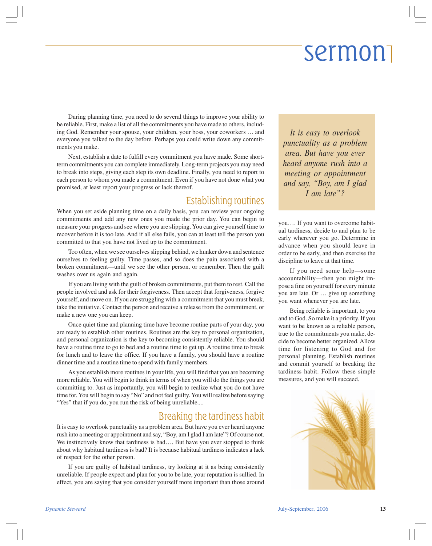During planning time, you need to do several things to improve your ability to be reliable. First, make a list of all the commitments you have made to others, including God. Remember your spouse, your children, your boss, your coworkers … and everyone you talked to the day before. Perhaps you could write down any commitments you make.

Next, establish a date to fulfill every commitment you have made. Some shortterm commitments you can complete immediately. Long-term projects you may need to break into steps, giving each step its own deadline. Finally, you need to report to each person to whom you made a commitment. Even if you have not done what you promised, at least report your progress or lack thereof.

### Establishing routines

When you set aside planning time on a daily basis, you can review your ongoing commitments and add any new ones you made the prior day. You can begin to measure your progress and see where you are slipping. You can give yourself time to recover before it is too late. And if all else fails, you can at least tell the person you committed to that you have not lived up to the commitment.

Too often, when we see ourselves slipping behind, we hunker down and sentence ourselves to feeling guilty. Time passes, and so does the pain associated with a broken commitment—until we see the other person, or remember. Then the guilt washes over us again and again.

If you are living with the guilt of broken commitments, put them to rest. Call the people involved and ask for their forgiveness. Then accept that forgiveness, forgive yourself, and move on. If you are struggling with a commitment that you must break, take the initiative. Contact the person and receive a release from the commitment, or make a new one you can keep.

Once quiet time and planning time have become routine parts of your day, you are ready to establish other routines. Routines are the key to personal organization, and personal organization is the key to becoming consistently reliable. You should have a routine time to go to bed and a routine time to get up. A routine time to break for lunch and to leave the office. If you have a family, you should have a routine dinner time and a routine time to spend with family members.

As you establish more routines in your life, you will find that you are becoming more reliable. You will begin to think in terms of when you will do the things you are committing to. Just as importantly, you will begin to realize what you do not have time for. You will begin to say "No" and not feel guilty. You will realize before saying "Yes" that if you do, you run the risk of being unreliable....

#### Breaking the tardiness habit

It is easy to overlook punctuality as a problem area. But have you ever heard anyone rush into a meeting or appointment and say, "Boy, am I glad I am late"? Of course not. We instinctively know that tardiness is bad.... But have you ever stopped to think about why habitual tardiness is bad? It is because habitual tardiness indicates a lack of respect for the other person.

If you are guilty of habitual tardiness, try looking at it as being consistently unreliable. If people expect and plan for you to be late, your reputation is sullied. In effect, you are saying that you consider yourself more important than those around

*It is easy to overlook punctuality as a problem area. But have you ever heard anyone rush into a meeting or appointment and say, "Boy, am I glad I am late"?*

you…. If you want to overcome habitual tardiness, decide to and plan to be early wherever you go. Determine in advance when you should leave in order to be early, and then exercise the discipline to leave at that time.

If you need some help—some accountability—then you might impose a fine on yourself for every minute you are late. Or … give up something you want whenever you are late.

Being reliable is important, to you and to God. So make it a priority. If you want to be known as a reliable person, true to the commitments you make, decide to become better organized. Allow time for listening to God and for personal planning. Establish routines and commit yourself to breaking the tardiness habit. Follow these simple measures, and you will succeed.

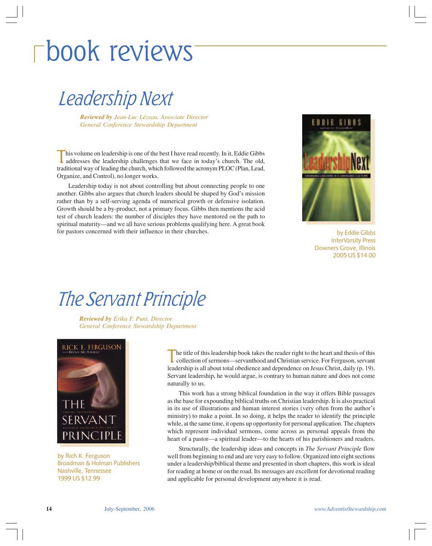## book reviews

Leadership Next

*Reviewed by Jean-Luc Lézeau, Associate Director General Conference Stewardship Department*

his volume on leadership is one of the best I have read recently. In it, Eddie Gibbs addresses the leadership challenges that we face in today's church. The old, traditional way of leading the church, which followed the acronym PLOC (Plan, Lead, Organize, and Control), no longer works.

Leadership today is not about controlling but about connecting people to one another. Gibbs also argues that church leaders should be shaped by God's mission rather than by a self-serving agenda of numerical growth or defensive isolation. Growth should be a by-product, not a primary focus. Gibbs then mentions the acid test of church leaders: the number of disciples they have mentored on the path to spiritual maturity—and we all have serious problems qualifying here. A great book for pastors concerned with their influence in their churches.



by Eddie Gibbs InterVarsity Press Downers Grove, Illinois 2005 US \$14.00

### The Servant Principle

*Reviewed by Erika F. Puni, Director General Conference Stewardship Department*



by Rich K. Ferguson Broadman & Holman Publishers Nashville, Tennessee 1999 US \$12.99

he title of this leadership book takes the reader right to the heart and thesis of this collection of sermons—servanthood and Christian service. For Ferguson, servant leadership is all about total obedience and dependence on Jesus Christ, daily (p. 19). Servant leadership, he would argue, is contrary to human nature and does not come naturally to us.

This work has a strong biblical foundation in the way it offers Bible passages as the base for expounding biblical truths on Christian leadership. It is also practical in its use of illustrations and human interest stories (very often from the author's ministry) to make a point. In so doing, it helps the reader to identify the principle while, at the same time, it opens up opportunity for personal application. The chapters which represent individual sermons, come across as personal appeals from the heart of a pastor—a spiritual leader—to the hearts of his parishioners and readers.

Structurally, the leadership ideas and concepts in *The Servant Principle* flow well from beginning to end and are very easy to follow. Organized into eight sections under a leadership/biblical theme and presented in short chapters, this work is ideal for reading at home or on the road. Its messages are excellent for devotional reading and applicable for personal development anywhere it is read.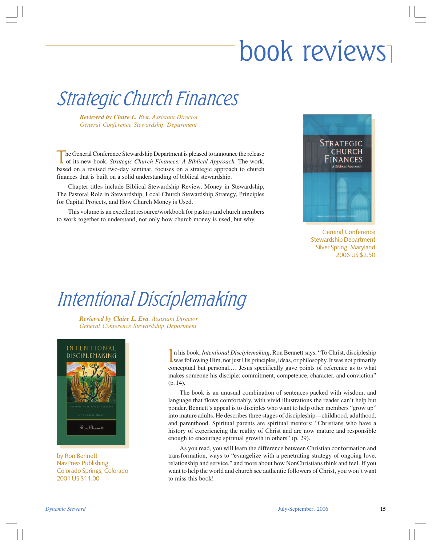## book reviews

### Strategic Church Finances

*Reviewed by Claire L. Eva, Assistant Director General Conference Stewardship Department*

The General Conference Stewardship Department is pleased to announce the release of its new book, *Strategic Church Finances: A Biblical Approach*. The work, based on a revised two-day seminar, focuses on a strategic approach to church finances that is built on a solid understanding of biblical stewardship.

Chapter titles include Biblical Stewardship Review, Money in Stewardship, The Pastoral Role in Stewardship, Local Church Stewardship Strategy, Principles for Capital Projects, and How Church Money is Used.

This volume is an excellent resource/workbook for pastors and church members to work together to understand, not only how church money is used, but why.



General Conference Stewardship Department Silver Spring, Maryland 2006 US \$2.50

### Intentional Disciplemaking

*Reviewed by Claire L. Eva, Assistant Director General Conference Stewardship Department*



by Ron Bennett NavPress Publishing Colorado Springs, Colorado 2001 US \$11.00

In his book, *Intentional Disciplemaking*, Ron Bennett says, "To Christ, discipleship was following Him, not just His principles, ideas, or philosophy. It was not primarily n his book, *Intentional Disciplemaking*, Ron Bennett says, "To Christ, discipleship conceptual but personal.… Jesus specifically gave points of reference as to what makes someone his disciple: commitment, competence, character, and conviction" (p. 14).

The book is an unusual combination of sentences packed with wisdom, and language that flows comfortably, with vivid illustrations the reader can't help but ponder. Bennett's appeal is to disciples who want to help other members "grow up" into mature adults. He describes three stages of discipleship—childhood, adulthood, and parenthood. Spiritual parents are spiritual mentors: "Christians who have a history of experiencing the reality of Christ and are now mature and responsible enough to encourage spiritual growth in others" (p. 29).

As you read, you will learn the difference between Christian conformation and transformation, ways to "evangelize with a penetrating strategy of ongoing love, relationship and service," and more about how NonChristians think and feel. If you want to help the world and church see authentic followers of Christ, you won't want to miss this book!